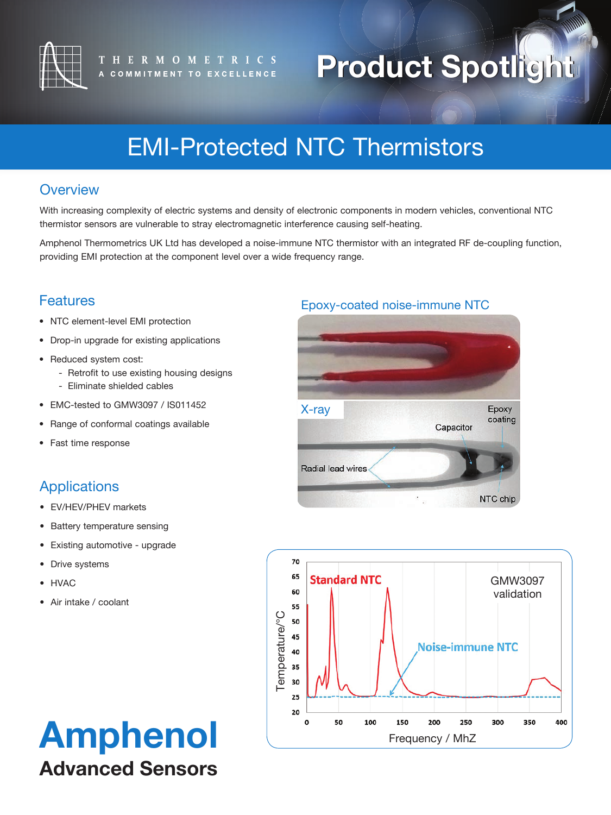

# **Product Spotlight Product Spotlight**

# EMI-Protected NTC Thermistors

### **Overview**

With increasing complexity of electric systems and density of electronic components in modern vehicles, conventional NTC thermistor sensors are vulnerable to stray electromagnetic interference causing self-heating.

Amphenol Thermometrics UK Ltd has developed a noise-immune NTC thermistor with an integrated RF de-coupling function, providing EMI protection at the component level over a wide frequency range.

## **Features**

- NTC element-level EMI protection
- Drop-in upgrade for existing applications
- Reduced system cost:
	- Retrofit to use existing housing designs
	- Eliminate shielded cables
- EMC-tested to GMW3097 / IS011452
- Range of conformal coatings available
- Fast time response

# Applications

- EV/HEV/PHEV markets
- Battery temperature sensing
- Existing automotive upgrade
- Drive systems
- HVAC
- Air intake / coolant

# Amphenol Advanced Sensors

#### Epoxy-coated noise-immune NTC